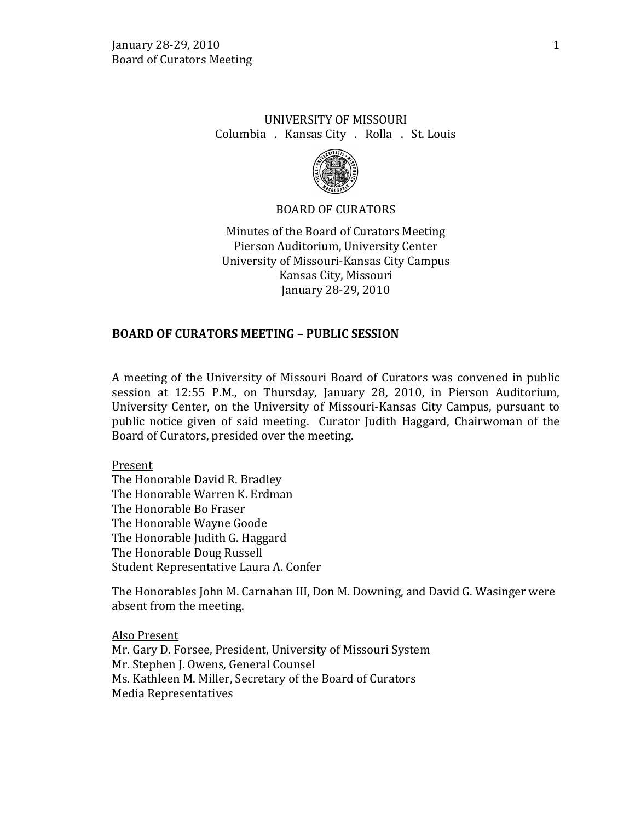# UNIVERSITY OF MISSOURI Columbia . Kansas City . Rolla . St. Louis



#### BOARD OF CURATORS

Minutes of the Board of Curators Meeting Pierson Auditorium, University Center University of Missouri-Kansas City Campus Kansas City, Missouri January 28-29, 2010

#### **BOARD OF CURATORS MEETING – PUBLIC SESSION**

A meeting of the University of Missouri Board of Curators was convened in public session at 12:55 P.M., on Thursday, January 28, 2010, in Pierson Auditorium, University Center, on the University of Missouri-Kansas City Campus, pursuant to public notice given of said meeting. Curator Judith Haggard, Chairwoman of the Board of Curators, presided over the meeting.

Present The Honorable David R. Bradley The Honorable Warren K. Erdman The Honorable Bo Fraser The Honorable Wayne Goode The Honorable Judith G. Haggard The Honorable Doug Russell Student Representative Laura A. Confer

The Honorables John M. Carnahan III, Don M. Downing, and David G. Wasinger were absent from the meeting.

Also Present Mr. Gary D. Forsee, President, University of Missouri System Mr. Stephen J. Owens, General Counsel Ms. Kathleen M. Miller, Secretary of the Board of Curators Media Representatives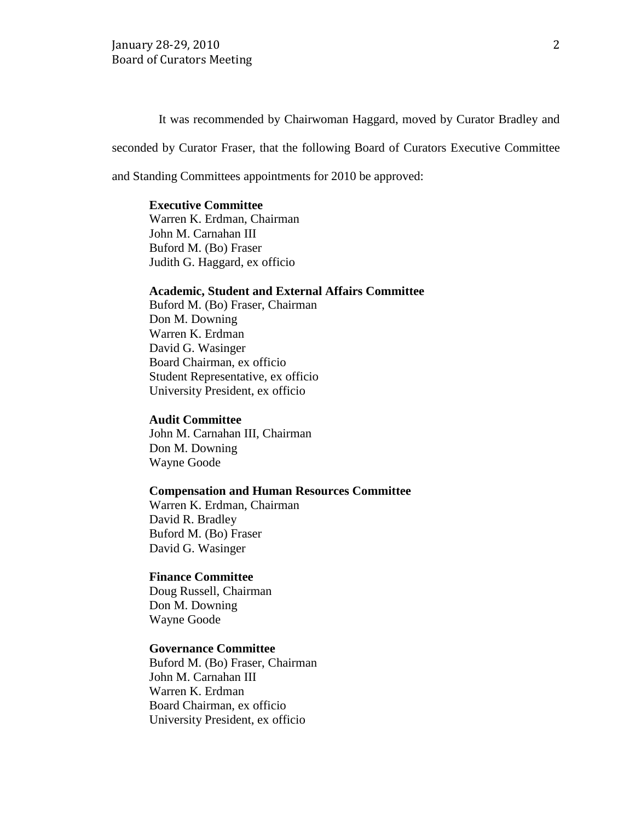It was recommended by Chairwoman Haggard, moved by Curator Bradley and

seconded by Curator Fraser, that the following Board of Curators Executive Committee

and Standing Committees appointments for 2010 be approved:

### **Executive Committee**

Warren K. Erdman, Chairman John M. Carnahan III Buford M. (Bo) Fraser Judith G. Haggard, ex officio

## **Academic, Student and External Affairs Committee**

Buford M. (Bo) Fraser, Chairman Don M. Downing Warren K. Erdman David G. Wasinger Board Chairman, ex officio Student Representative, ex officio University President, ex officio

#### **Audit Committee**

John M. Carnahan III, Chairman Don M. Downing Wayne Goode

#### **Compensation and Human Resources Committee**

Warren K. Erdman, Chairman David R. Bradley Buford M. (Bo) Fraser David G. Wasinger

#### **Finance Committee**

Doug Russell, Chairman Don M. Downing Wayne Goode

#### **Governance Committee**

Buford M. (Bo) Fraser, Chairman John M. Carnahan III Warren K. Erdman Board Chairman, ex officio University President, ex officio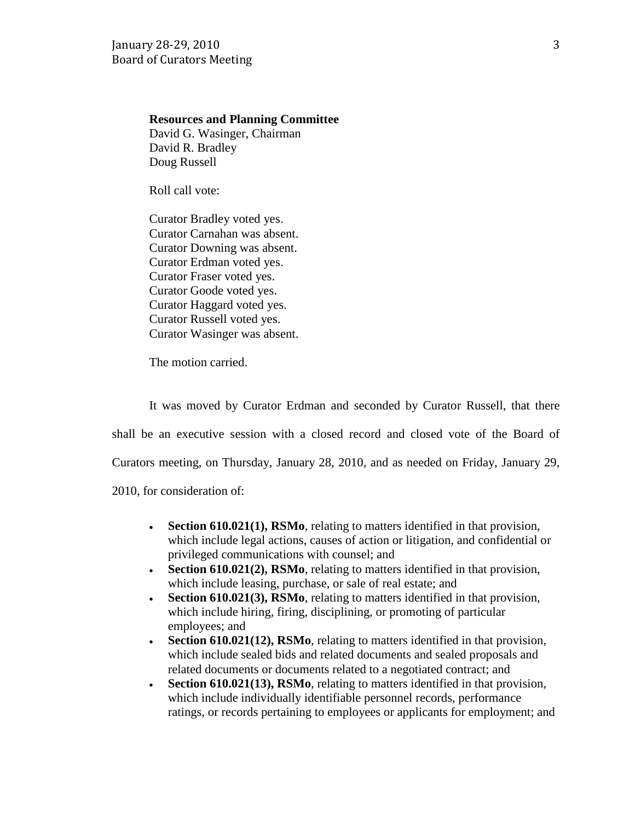## **Resources and Planning Committee**

David G. Wasinger, Chairman David R. Bradley Doug Russell

Roll call vote:

Curator Bradley voted yes. Curator Carnahan was absent. Curator Downing was absent. Curator Erdman voted yes. Curator Fraser voted yes. Curator Goode voted yes. Curator Haggard voted yes. Curator Russell voted yes. Curator Wasinger was absent.

The motion carried.

It was moved by Curator Erdman and seconded by Curator Russell, that there shall be an executive session with a closed record and closed vote of the Board of Curators meeting, on Thursday, January 28, 2010, and as needed on Friday, January 29, 2010, for consideration of:

- **Section 610.021(1), RSMo**, relating to matters identified in that provision, which include legal actions, causes of action or litigation, and confidential or privileged communications with counsel; and
- **Section 610.021(2), RSMo**, relating to matters identified in that provision, which include leasing, purchase, or sale of real estate; and
- **Section 610.021(3), RSMo**, relating to matters identified in that provision, which include hiring, firing, disciplining, or promoting of particular employees; and
- **Section 610.021(12), RSMo**, relating to matters identified in that provision, which include sealed bids and related documents and sealed proposals and related documents or documents related to a negotiated contract; and
- **Section 610.021(13), RSMo**, relating to matters identified in that provision, which include individually identifiable personnel records, performance ratings, or records pertaining to employees or applicants for employment; and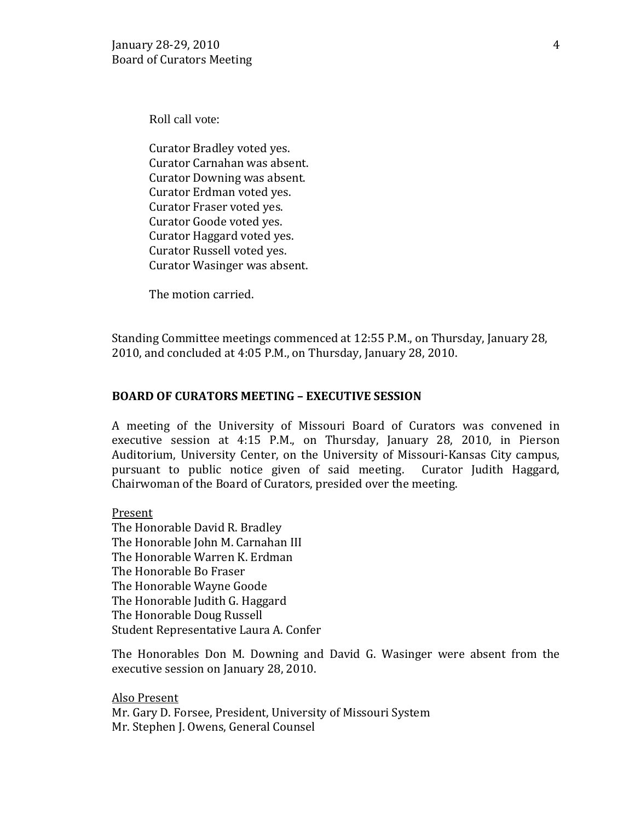Roll call vote:

Curator Bradley voted yes. Curator Carnahan was absent. Curator Downing was absent. Curator Erdman voted yes. Curator Fraser voted yes. Curator Goode voted yes. Curator Haggard voted yes. Curator Russell voted yes. Curator Wasinger was absent.

The motion carried.

Standing Committee meetings commenced at 12:55 P.M., on Thursday, January 28, 2010, and concluded at 4:05 P.M., on Thursday, January 28, 2010.

## **BOARD OF CURATORS MEETING – EXECUTIVE SESSION**

A meeting of the University of Missouri Board of Curators was convened in executive session at 4:15 P.M., on Thursday, January 28, 2010, in Pierson Auditorium, University Center, on the University of Missouri-Kansas City campus, pursuant to public notice given of said meeting. Curator Judith Haggard, Chairwoman of the Board of Curators, presided over the meeting.

## Present

The Honorable David R. Bradley The Honorable John M. Carnahan III The Honorable Warren K. Erdman The Honorable Bo Fraser The Honorable Wayne Goode The Honorable Judith G. Haggard The Honorable Doug Russell Student Representative Laura A. Confer

The Honorables Don M. Downing and David G. Wasinger were absent from the executive session on January 28, 2010.

Also Present Mr. Gary D. Forsee, President, University of Missouri System Mr. Stephen J. Owens, General Counsel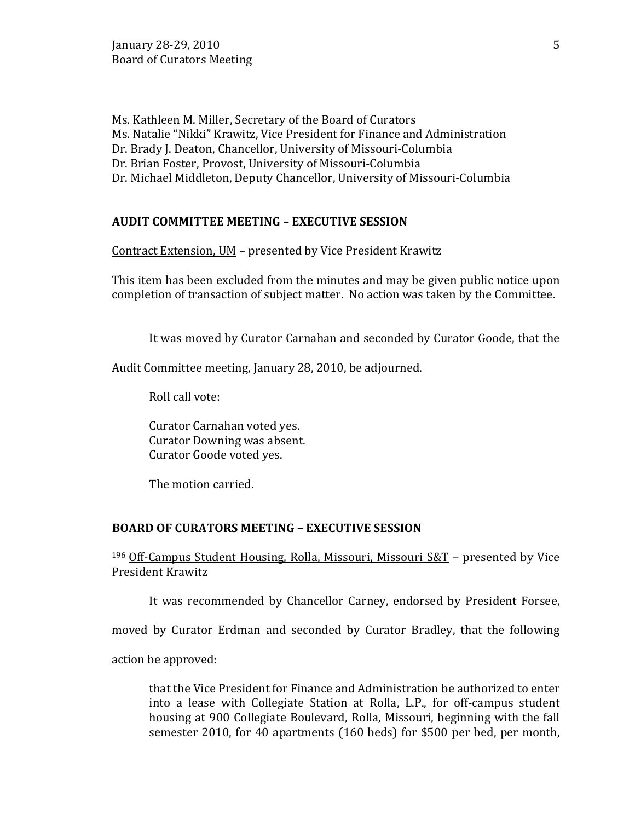Ms. Kathleen M. Miller, Secretary of the Board of Curators Ms. Natalie "Nikki" Krawitz, Vice President for Finance and Administration Dr. Brady J. Deaton, Chancellor, University of Missouri-Columbia Dr. Brian Foster, Provost, University of Missouri-Columbia Dr. Michael Middleton, Deputy Chancellor, University of Missouri-Columbia

# **AUDIT COMMITTEE MEETING – EXECUTIVE SESSION**

Contract Extension, UM – presented by Vice President Krawitz

This item has been excluded from the minutes and may be given public notice upon completion of transaction of subject matter. No action was taken by the Committee.

It was moved by Curator Carnahan and seconded by Curator Goode, that the

Audit Committee meeting, January 28, 2010, be adjourned.

Roll call vote:

Curator Carnahan voted yes. Curator Downing was absent. Curator Goode voted yes.

The motion carried.

#### **BOARD OF CURATORS MEETING – EXECUTIVE SESSION**

196 Off-Campus Student Housing, Rolla, Missouri, Missouri S&T – presented by Vice President Krawitz

It was recommended by Chancellor Carney, endorsed by President Forsee,

moved by Curator Erdman and seconded by Curator Bradley, that the following

action be approved:

that the Vice President for Finance and Administration be authorized to enter into a lease with Collegiate Station at Rolla, L.P., for off-campus student housing at 900 Collegiate Boulevard, Rolla, Missouri, beginning with the fall semester 2010, for 40 apartments (160 beds) for \$500 per bed, per month,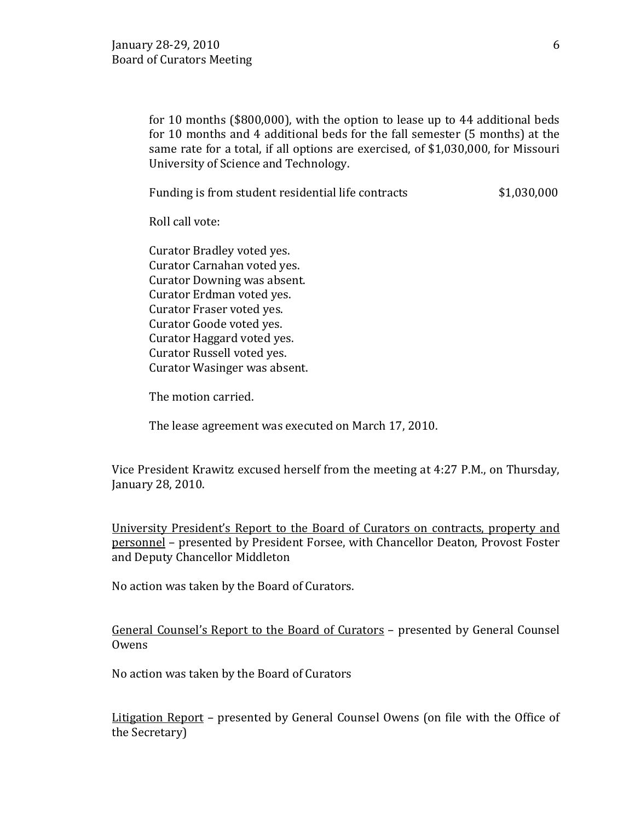for 10 months (\$800,000), with the option to lease up to 44 additional beds for 10 months and 4 additional beds for the fall semester (5 months) at the same rate for a total, if all options are exercised, of \$1,030,000, for Missouri University of Science and Technology.

Funding is from student residential life contracts  $$1,030,000$ 

Roll call vote:

Curator Bradley voted yes. Curator Carnahan voted yes. Curator Downing was absent. Curator Erdman voted yes. Curator Fraser voted yes. Curator Goode voted yes. Curator Haggard voted yes. Curator Russell voted yes. Curator Wasinger was absent.

The motion carried.

The lease agreement was executed on March 17, 2010.

Vice President Krawitz excused herself from the meeting at 4:27 P.M., on Thursday, January 28, 2010.

University President's Report to the Board of Curators on contracts, property and personnel – presented by President Forsee, with Chancellor Deaton, Provost Foster and Deputy Chancellor Middleton

No action was taken by the Board of Curators.

General Counsel's Report to the Board of Curators - presented by General Counsel **Owens** 

No action was taken by the Board of Curators

Litigation Report – presented by General Counsel Owens (on file with the Office of the Secretary)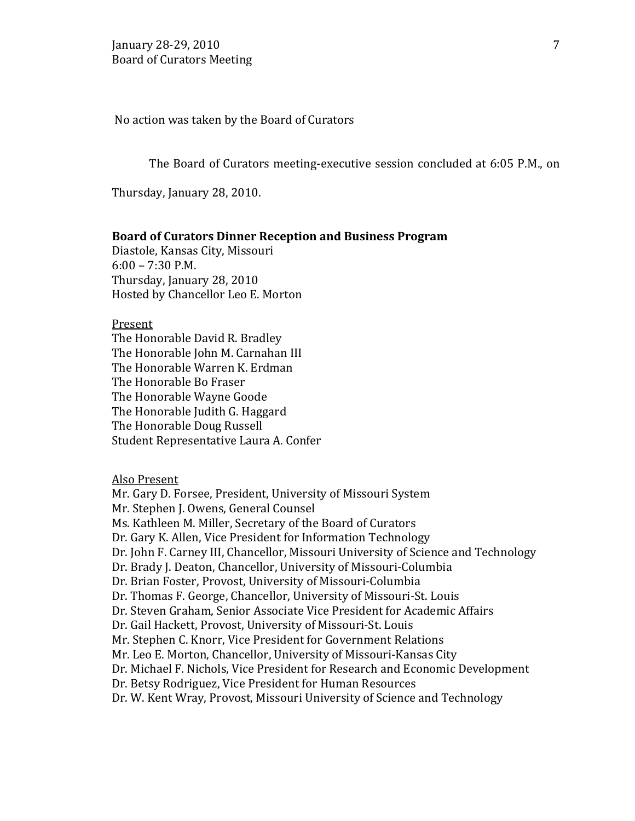No action was taken by the Board of Curators

The Board of Curators meeting-executive session concluded at 6:05 P.M., on

Thursday, January 28, 2010.

#### **Board of Curators Dinner Reception and Business Program**

Diastole, Kansas City, Missouri 6:00 – 7:30 P.M. Thursday, January 28, 2010 Hosted by Chancellor Leo E. Morton

Present

The Honorable David R. Bradley The Honorable John M. Carnahan III The Honorable Warren K. Erdman The Honorable Bo Fraser The Honorable Wayne Goode The Honorable Judith G. Haggard The Honorable Doug Russell Student Representative Laura A. Confer

#### Also Present

Mr. Gary D. Forsee, President, University of Missouri System Mr. Stephen J. Owens, General Counsel Ms. Kathleen M. Miller, Secretary of the Board of Curators Dr. Gary K. Allen, Vice President for Information Technology Dr. John F. Carney III, Chancellor, Missouri University of Science and Technology Dr. Brady J. Deaton, Chancellor, University of Missouri-Columbia Dr. Brian Foster, Provost, University of Missouri-Columbia Dr. Thomas F. George, Chancellor, University of Missouri-St. Louis Dr. Steven Graham, Senior Associate Vice President for Academic Affairs Dr. Gail Hackett, Provost, University of Missouri-St. Louis Mr. Stephen C. Knorr, Vice President for Government Relations Mr. Leo E. Morton, Chancellor, University of Missouri-Kansas City Dr. Michael F. Nichols, Vice President for Research and Economic Development Dr. Betsy Rodriguez, Vice President for Human Resources Dr. W. Kent Wray, Provost, Missouri University of Science and Technology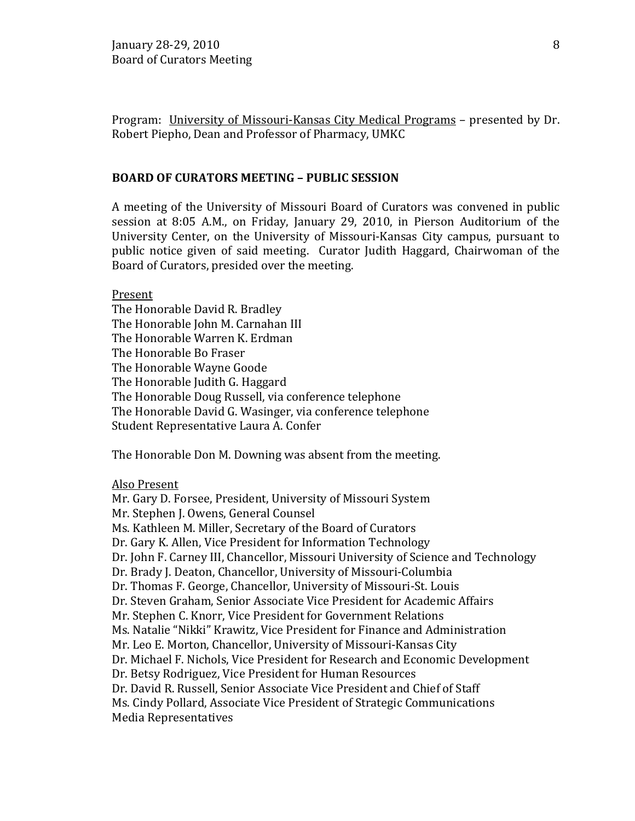Program: University of Missouri-Kansas City Medical Programs – presented by Dr. Robert Piepho, Dean and Professor of Pharmacy, UMKC

### **BOARD OF CURATORS MEETING – PUBLIC SESSION**

A meeting of the University of Missouri Board of Curators was convened in public session at 8:05 A.M., on Friday, January 29, 2010, in Pierson Auditorium of the University Center, on the University of Missouri-Kansas City campus, pursuant to public notice given of said meeting. Curator Judith Haggard, Chairwoman of the Board of Curators, presided over the meeting.

Present

The Honorable David R. Bradley The Honorable John M. Carnahan III The Honorable Warren K. Erdman The Honorable Bo Fraser The Honorable Wayne Goode The Honorable Judith G. Haggard The Honorable Doug Russell, via conference telephone The Honorable David G. Wasinger, via conference telephone Student Representative Laura A. Confer

The Honorable Don M. Downing was absent from the meeting.

#### Also Present

Mr. Gary D. Forsee, President, University of Missouri System Mr. Stephen J. Owens, General Counsel Ms. Kathleen M. Miller, Secretary of the Board of Curators Dr. Gary K. Allen, Vice President for Information Technology Dr. John F. Carney III, Chancellor, Missouri University of Science and Technology Dr. Brady J. Deaton, Chancellor, University of Missouri-Columbia Dr. Thomas F. George, Chancellor, University of Missouri-St. Louis Dr. Steven Graham, Senior Associate Vice President for Academic Affairs Mr. Stephen C. Knorr, Vice President for Government Relations Ms. Natalie "Nikki" Krawitz, Vice President for Finance and Administration Mr. Leo E. Morton, Chancellor, University of Missouri-Kansas City Dr. Michael F. Nichols, Vice President for Research and Economic Development Dr. Betsy Rodriguez, Vice President for Human Resources Dr. David R. Russell, Senior Associate Vice President and Chief of Staff Ms. Cindy Pollard, Associate Vice President of Strategic Communications Media Representatives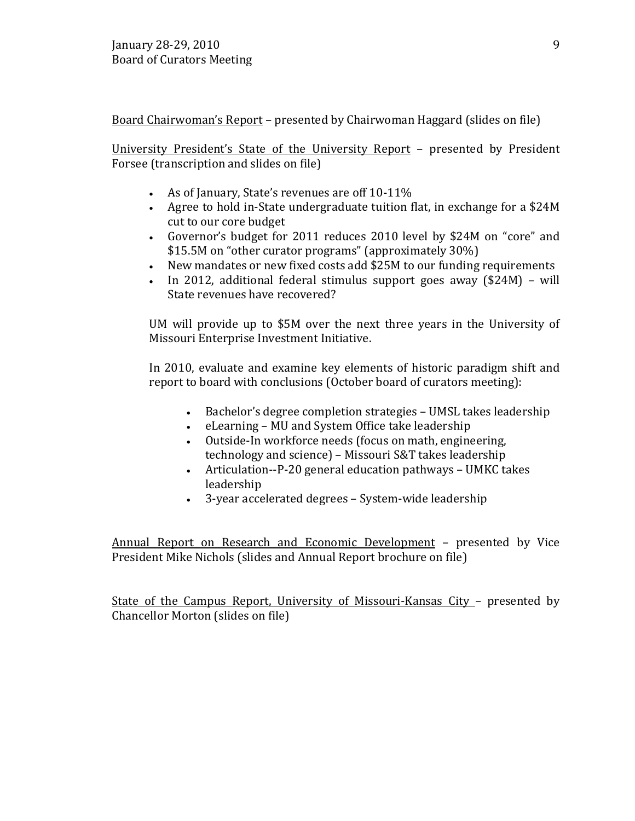Board Chairwoman's Report – presented by Chairwoman Haggard (slides on file)

University President's State of the University Report – presented by President Forsee (transcription and slides on file)

- As of January, State's revenues are off 10-11%
- Agree to hold in-State undergraduate tuition flat, in exchange for a \$24M cut to our core budget
- Governor's budget for 2011 reduces 2010 level by \$24M on "core" and \$15.5M on "other curator programs" (approximately 30%)
- New mandates or new fixed costs add \$25M to our funding requirements
- In 2012, additional federal stimulus support goes away (\$24M) will State revenues have recovered?

UM will provide up to \$5M over the next three years in the University of Missouri Enterprise Investment Initiative.

In 2010, evaluate and examine key elements of historic paradigm shift and report to board with conclusions (October board of curators meeting):

- Bachelor's degree completion strategies UMSL takes leadership
- eLearning MU and System Office take leadership
- Outside-In workforce needs (focus on math, engineering, technology and science) – Missouri S&T takes leadership
- Articulation--P-20 general education pathways UMKC takes leadership
- 3-year accelerated degrees System-wide leadership

Annual Report on Research and Economic Development – presented by Vice President Mike Nichols (slides and Annual Report brochure on file)

State of the Campus Report, University of Missouri-Kansas City – presented by Chancellor Morton (slides on file)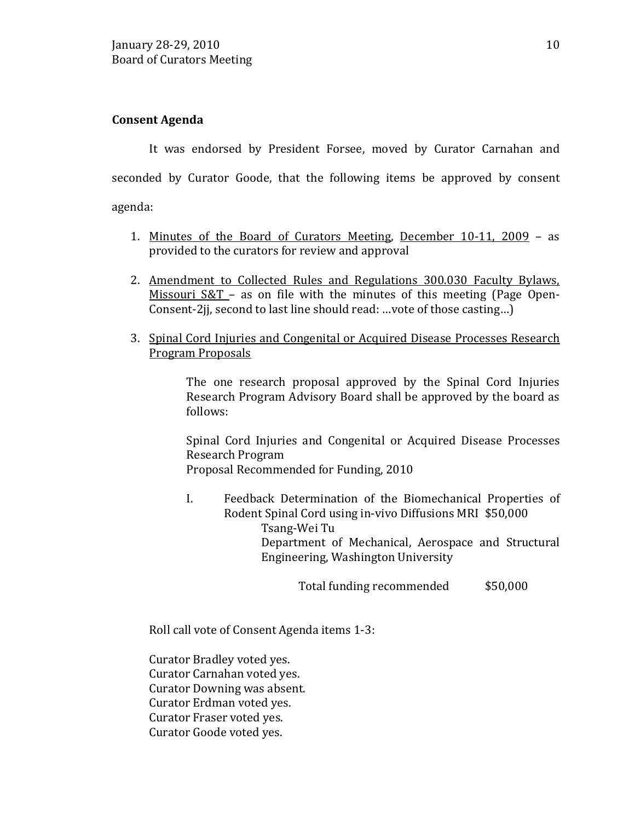# **Consent Agenda**

It was endorsed by President Forsee, moved by Curator Carnahan and seconded by Curator Goode, that the following items be approved by consent agenda:

- 1. Minutes of the Board of Curators Meeting, December 10-11, 2009 as provided to the curators for review and approval
- 2. Amendment to Collected Rules and Regulations 300.030 Faculty Bylaws, Missouri S&T – as on file with the minutes of this meeting (Page Open-Consent-2jj, second to last line should read: …vote of those casting…)
- 3. Spinal Cord Injuries and Congenital or Acquired Disease Processes Research Program Proposals

The one research proposal approved by the Spinal Cord Injuries Research Program Advisory Board shall be approved by the board as follows:

Spinal Cord Injuries and Congenital or Acquired Disease Processes Research Program Proposal Recommended for Funding, 2010

I. Feedback Determination of the Biomechanical Properties of Rodent Spinal Cord using in-vivo Diffusions MRI \$50,000 Tsang-Wei Tu Department of Mechanical, Aerospace and Structural Engineering, Washington University

Total funding recommended \$50,000

Roll call vote of Consent Agenda items 1-3:

Curator Bradley voted yes. Curator Carnahan voted yes. Curator Downing was absent. Curator Erdman voted yes. Curator Fraser voted yes. Curator Goode voted yes.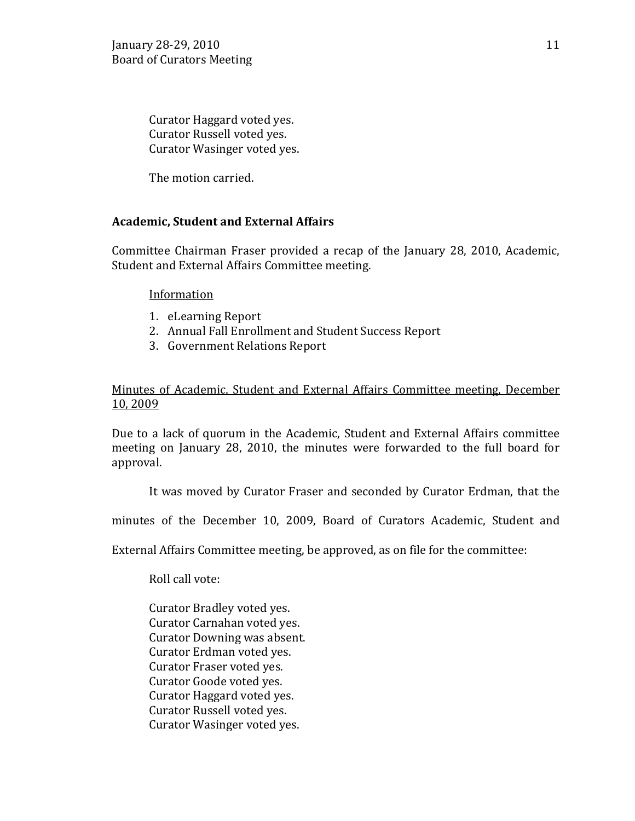Curator Haggard voted yes. Curator Russell voted yes. Curator Wasinger voted yes.

The motion carried.

# **Academic, Student and External Affairs**

Committee Chairman Fraser provided a recap of the January 28, 2010, Academic, Student and External Affairs Committee meeting.

## Information

- 1. eLearning Report
- 2. Annual Fall Enrollment and Student Success Report
- 3. Government Relations Report

# Minutes of Academic, Student and External Affairs Committee meeting, December 10, 2009

Due to a lack of quorum in the Academic, Student and External Affairs committee meeting on January 28, 2010, the minutes were forwarded to the full board for approval.

It was moved by Curator Fraser and seconded by Curator Erdman, that the

minutes of the December 10, 2009, Board of Curators Academic, Student and

External Affairs Committee meeting, be approved, as on file for the committee:

Roll call vote:

Curator Bradley voted yes. Curator Carnahan voted yes. Curator Downing was absent. Curator Erdman voted yes. Curator Fraser voted yes. Curator Goode voted yes. Curator Haggard voted yes. Curator Russell voted yes. Curator Wasinger voted yes.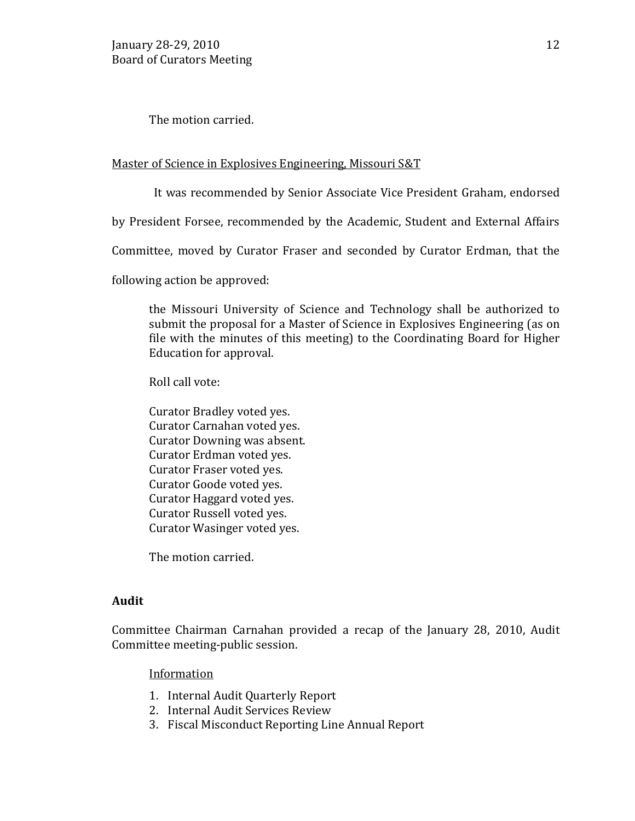The motion carried.

### Master of Science in Explosives Engineering, Missouri S&T

It was recommended by Senior Associate Vice President Graham, endorsed

by President Forsee, recommended by the Academic, Student and External Affairs

Committee, moved by Curator Fraser and seconded by Curator Erdman, that the

following action be approved:

the Missouri University of Science and Technology shall be authorized to submit the proposal for a Master of Science in Explosives Engineering (as on file with the minutes of this meeting) to the Coordinating Board for Higher Education for approval.

Roll call vote:

Curator Bradley voted yes. Curator Carnahan voted yes. Curator Downing was absent. Curator Erdman voted yes. Curator Fraser voted yes. Curator Goode voted yes. Curator Haggard voted yes. Curator Russell voted yes. Curator Wasinger voted yes.

The motion carried.

## **Audit**

Committee Chairman Carnahan provided a recap of the January 28, 2010, Audit Committee meeting-public session.

## Information

- 1. Internal Audit Quarterly Report
- 2. Internal Audit Services Review
- 3. Fiscal Misconduct Reporting Line Annual Report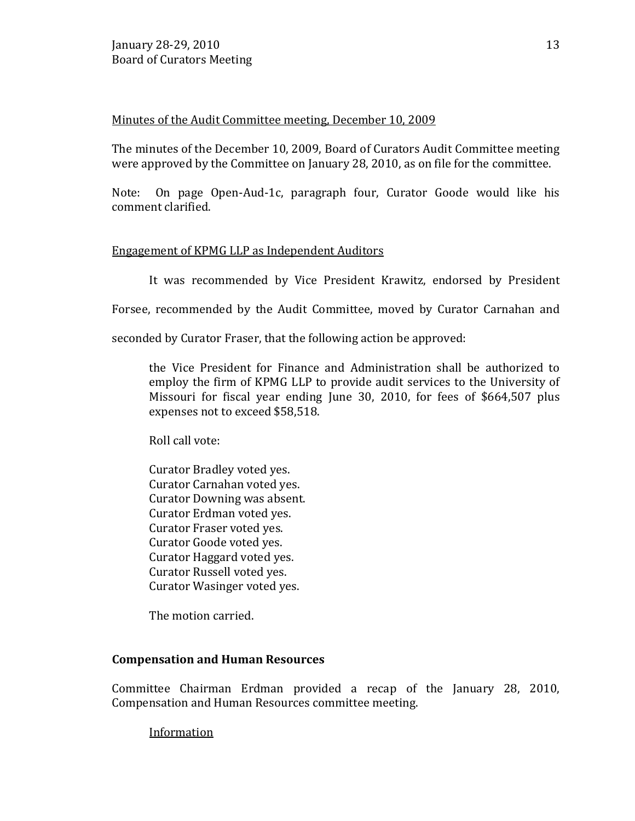# Minutes of the Audit Committee meeting, December 10, 2009

The minutes of the December 10, 2009, Board of Curators Audit Committee meeting were approved by the Committee on January 28, 2010, as on file for the committee.

Note: On page Open-Aud-1c, paragraph four, Curator Goode would like his comment clarified.

# Engagement of KPMG LLP as Independent Auditors

It was recommended by Vice President Krawitz, endorsed by President

Forsee, recommended by the Audit Committee, moved by Curator Carnahan and

seconded by Curator Fraser, that the following action be approved:

the Vice President for Finance and Administration shall be authorized to employ the firm of KPMG LLP to provide audit services to the University of Missouri for fiscal year ending June 30, 2010, for fees of \$664,507 plus expenses not to exceed \$58,518.

Roll call vote:

Curator Bradley voted yes. Curator Carnahan voted yes. Curator Downing was absent. Curator Erdman voted yes. Curator Fraser voted yes. Curator Goode voted yes. Curator Haggard voted yes. Curator Russell voted yes. Curator Wasinger voted yes.

The motion carried.

## **Compensation and Human Resources**

Committee Chairman Erdman provided a recap of the January 28, 2010, Compensation and Human Resources committee meeting.

Information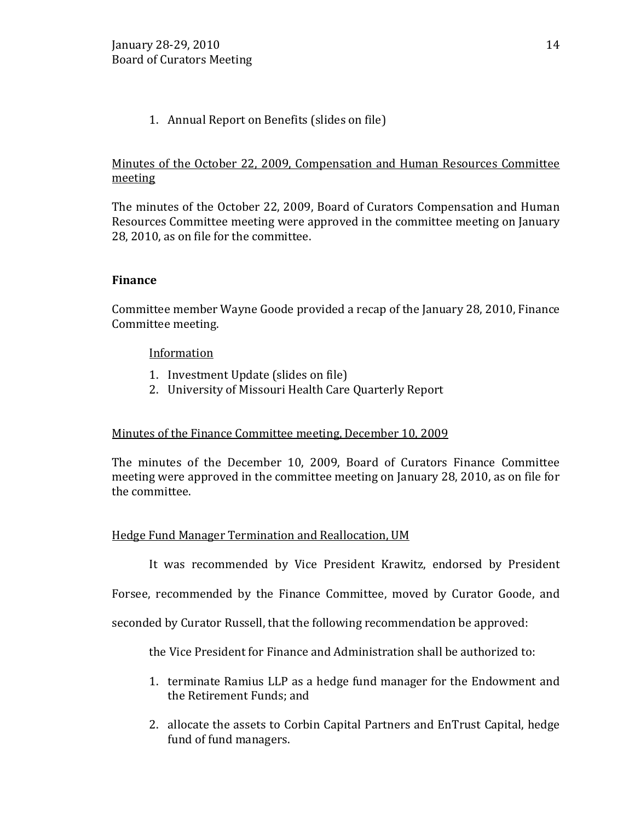# 1. Annual Report on Benefits (slides on file)

# Minutes of the October 22, 2009, Compensation and Human Resources Committee meeting

The minutes of the October 22, 2009, Board of Curators Compensation and Human Resources Committee meeting were approved in the committee meeting on January 28, 2010, as on file for the committee.

# **Finance**

Committee member Wayne Goode provided a recap of the January 28, 2010, Finance Committee meeting.

# Information

- 1. Investment Update (slides on file)
- 2. University of Missouri Health Care Quarterly Report

# Minutes of the Finance Committee meeting, December 10, 2009

The minutes of the December 10, 2009, Board of Curators Finance Committee meeting were approved in the committee meeting on January 28, 2010, as on file for the committee.

## Hedge Fund Manager Termination and Reallocation, UM

It was recommended by Vice President Krawitz, endorsed by President

Forsee, recommended by the Finance Committee, moved by Curator Goode, and

seconded by Curator Russell, that the following recommendation be approved:

the Vice President for Finance and Administration shall be authorized to:

- 1. terminate Ramius LLP as a hedge fund manager for the Endowment and the Retirement Funds; and
- 2. allocate the assets to Corbin Capital Partners and EnTrust Capital, hedge fund of fund managers.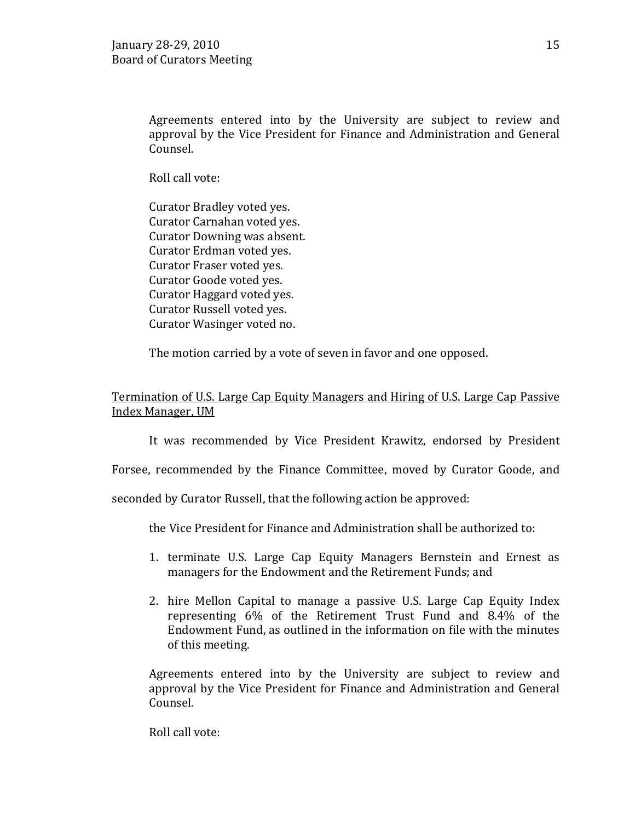Agreements entered into by the University are subject to review and approval by the Vice President for Finance and Administration and General Counsel.

Roll call vote:

Curator Bradley voted yes. Curator Carnahan voted yes. Curator Downing was absent. Curator Erdman voted yes. Curator Fraser voted yes. Curator Goode voted yes. Curator Haggard voted yes. Curator Russell voted yes. Curator Wasinger voted no.

The motion carried by a vote of seven in favor and one opposed.

Termination of U.S. Large Cap Equity Managers and Hiring of U.S. Large Cap Passive Index Manager, UM

It was recommended by Vice President Krawitz, endorsed by President

Forsee, recommended by the Finance Committee, moved by Curator Goode, and

seconded by Curator Russell, that the following action be approved:

the Vice President for Finance and Administration shall be authorized to:

- 1. terminate U.S. Large Cap Equity Managers Bernstein and Ernest as managers for the Endowment and the Retirement Funds; and
- 2. hire Mellon Capital to manage a passive U.S. Large Cap Equity Index representing 6% of the Retirement Trust Fund and 8.4% of the Endowment Fund, as outlined in the information on file with the minutes of this meeting.

Agreements entered into by the University are subject to review and approval by the Vice President for Finance and Administration and General Counsel.

Roll call vote: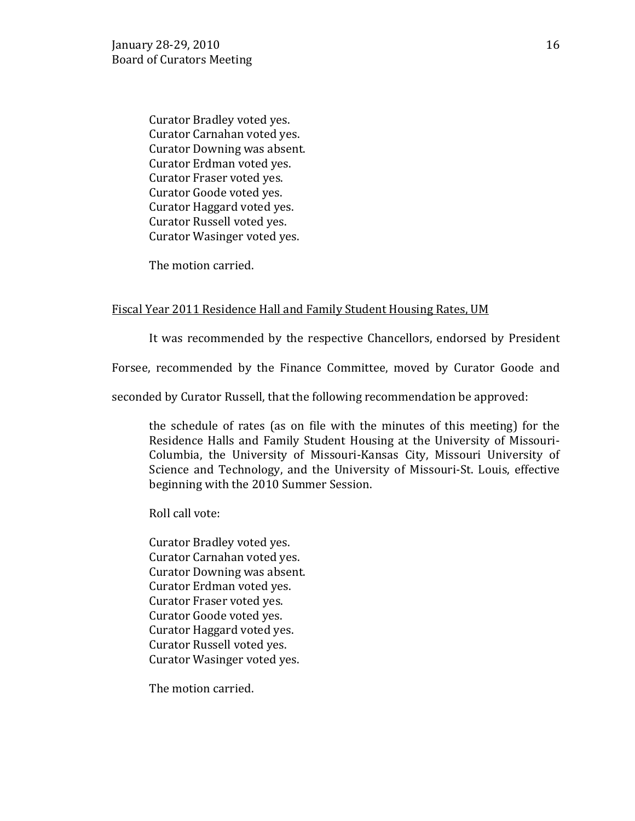Curator Bradley voted yes. Curator Carnahan voted yes. Curator Downing was absent. Curator Erdman voted yes. Curator Fraser voted yes. Curator Goode voted yes. Curator Haggard voted yes. Curator Russell voted yes. Curator Wasinger voted yes.

The motion carried.

### Fiscal Year 2011 Residence Hall and Family Student Housing Rates, UM

It was recommended by the respective Chancellors, endorsed by President

Forsee, recommended by the Finance Committee, moved by Curator Goode and

seconded by Curator Russell, that the following recommendation be approved:

the schedule of rates (as on file with the minutes of this meeting) for the Residence Halls and Family Student Housing at the University of Missouri-Columbia, the University of Missouri-Kansas City, Missouri University of Science and Technology, and the University of Missouri-St. Louis, effective beginning with the 2010 Summer Session.

Roll call vote:

Curator Bradley voted yes. Curator Carnahan voted yes. Curator Downing was absent. Curator Erdman voted yes. Curator Fraser voted yes. Curator Goode voted yes. Curator Haggard voted yes. Curator Russell voted yes. Curator Wasinger voted yes.

The motion carried.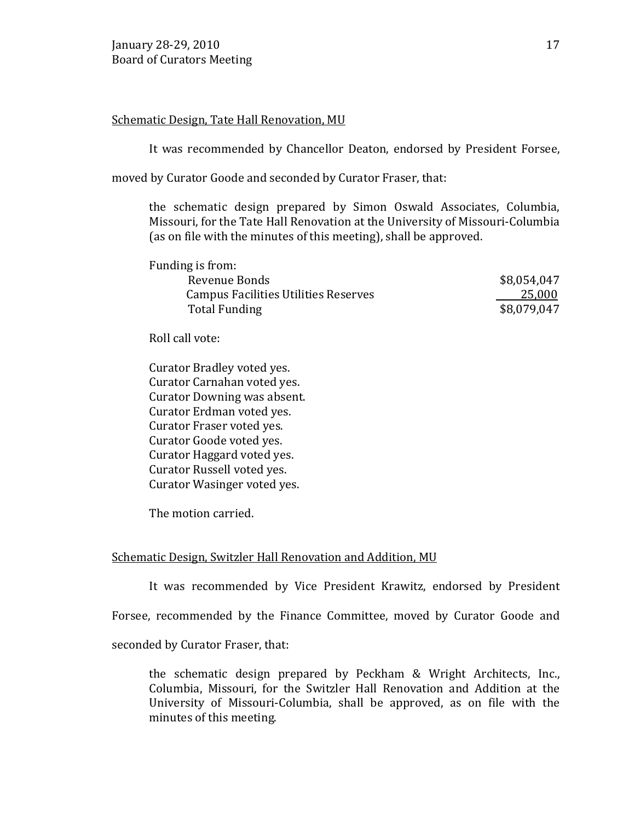### Schematic Design, Tate Hall Renovation, MU

It was recommended by Chancellor Deaton, endorsed by President Forsee,

moved by Curator Goode and seconded by Curator Fraser, that:

the schematic design prepared by Simon Oswald Associates, Columbia, Missouri, for the Tate Hall Renovation at the University of Missouri-Columbia (as on file with the minutes of this meeting), shall be approved.

| Funding is from:                            |             |
|---------------------------------------------|-------------|
| Revenue Bonds                               | \$8,054,047 |
| <b>Campus Facilities Utilities Reserves</b> | 25,000      |
| Total Funding                               | \$8,079,047 |
|                                             |             |

Roll call vote:

Curator Bradley voted yes. Curator Carnahan voted yes. Curator Downing was absent. Curator Erdman voted yes. Curator Fraser voted yes. Curator Goode voted yes. Curator Haggard voted yes. Curator Russell voted yes. Curator Wasinger voted yes.

The motion carried.

## Schematic Design, Switzler Hall Renovation and Addition, MU

It was recommended by Vice President Krawitz, endorsed by President

Forsee, recommended by the Finance Committee, moved by Curator Goode and

seconded by Curator Fraser, that:

the schematic design prepared by Peckham & Wright Architects, Inc., Columbia, Missouri, for the Switzler Hall Renovation and Addition at the University of Missouri-Columbia, shall be approved, as on file with the minutes of this meeting.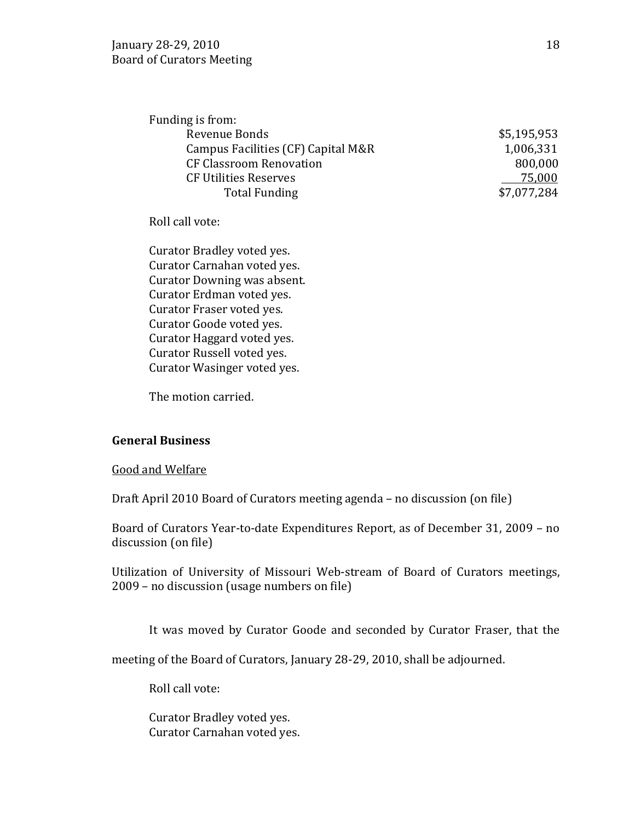| Funding is from:                   |             |
|------------------------------------|-------------|
| Revenue Bonds                      | \$5,195,953 |
| Campus Facilities (CF) Capital M&R | 1,006,331   |
| <b>CF Classroom Renovation</b>     | 800,000     |
| <b>CF Utilities Reserves</b>       | 75,000      |
| <b>Total Funding</b>               | \$7,077,284 |
|                                    |             |

Roll call vote:

Curator Bradley voted yes. Curator Carnahan voted yes. Curator Downing was absent. Curator Erdman voted yes. Curator Fraser voted yes. Curator Goode voted yes. Curator Haggard voted yes. Curator Russell voted yes. Curator Wasinger voted yes.

The motion carried.

#### **General Business**

Good and Welfare

Draft April 2010 Board of Curators meeting agenda – no discussion (on file)

Board of Curators Year-to-date Expenditures Report, as of December 31, 2009 – no discussion (on file)

Utilization of University of Missouri Web-stream of Board of Curators meetings, 2009 – no discussion (usage numbers on file)

It was moved by Curator Goode and seconded by Curator Fraser, that the

meeting of the Board of Curators, January 28-29, 2010, shall be adjourned.

Roll call vote:

Curator Bradley voted yes. Curator Carnahan voted yes.